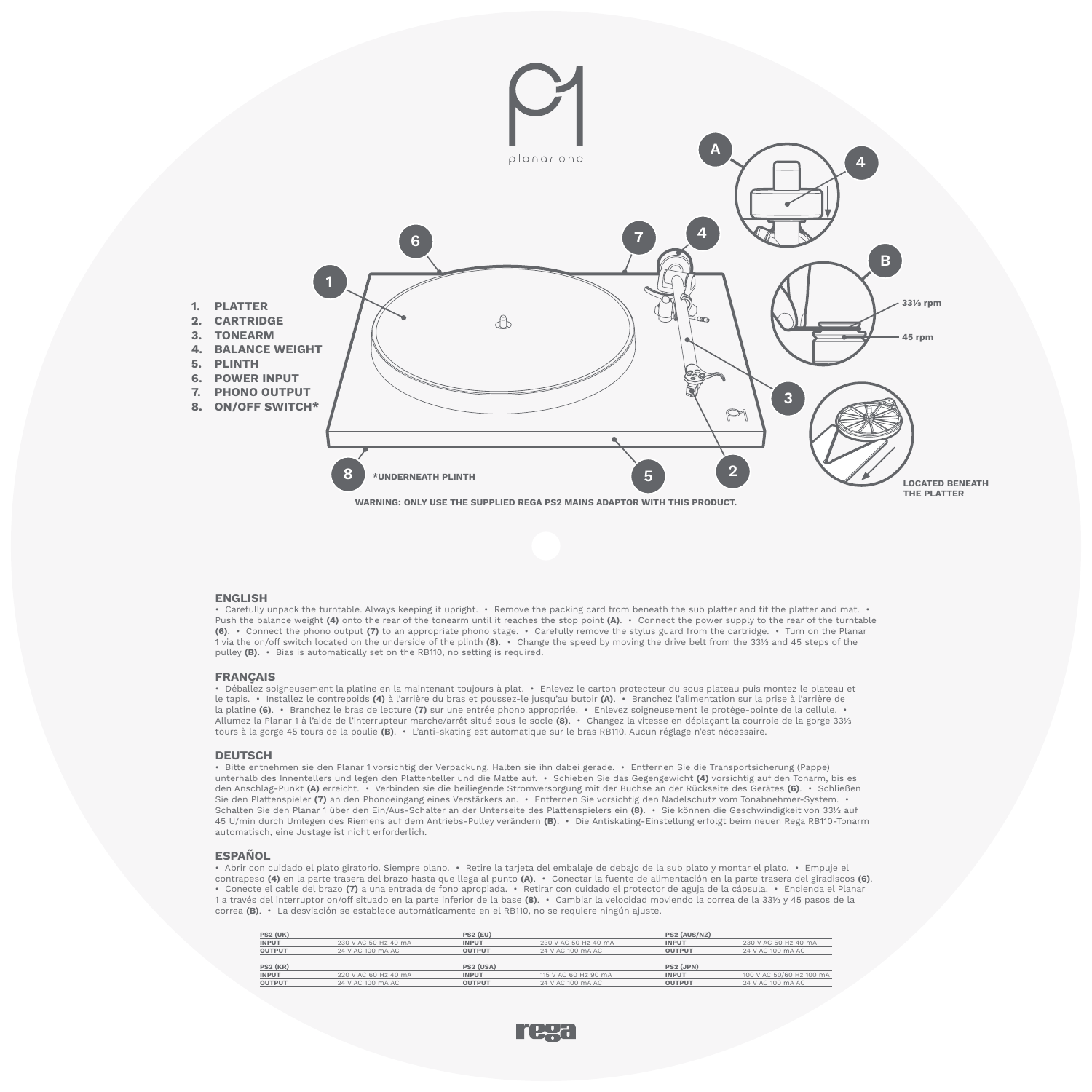

# **ENGLISH**

• Carefully unpack the turntable. Always keeping it upright. • Remove the packing card from beneath the sub platter and fit the platter and mat. • Push the balance weight **(4)** onto the rear of the tonearm until it reaches the stop point **(A)**. • Connect the power supply to the rear of the turntable **(6)**. • Connect the phono output **(7)** to an appropriate phono stage. • Carefully remove the stylus guard from the cartridge. • Turn on the Planar 1 via the on/off switch located on the underside of the plinth **(8)**. • Change the speed by moving the drive belt from the 331/3 and 45 steps of the pulley **(B)**. • Bias is automatically set on the RB110, no setting is required.

# **FRANÇAIS**

• Déballez soigneusement la platine en la maintenant toujours à plat. • Enlevez le carton protecteur du sous plateau puis montez le plateau et le tapis. • Installez le contrepoids **(4)** à l'arrière du bras et poussez-le jusqu'au butoir **(A)**. • Branchez l'alimentation sur la prise à l'arrière de la platine **(6)**. • Branchez le bras de lecture **(7)** sur une entrée phono appropriée. • Enlevez soigneusement le protège-pointe de la cellule. • Allumez la Planar 1 à l'aide de l'interrupteur marche/arrêt situé sous le socle **(8)**. • Changez la vitesse en déplaçant la courroie de la gorge 331/3 tours à la gorge 45 tours de la poulie **(B)**. • L'anti-skating est automatique sur le bras RB110. Aucun réglage n'est nécessaire.

## **DEUTSCH**

• Bitte entnehmen sie den Planar 1 vorsichtig der Verpackung. Halten sie ihn dabei gerade. • Entfernen Sie die Transportsicherung (Pappe) unterhalb des Innentellers und legen den Plattenteller und die Matte auf. • Schieben Sie das Gegengewicht **(4)** vorsichtig auf den Tonarm, bis es den Anschlag-Punkt **(A)** erreicht. • Verbinden sie die beiliegende Stromversorgung mit der Buchse an der Rückseite des Gerätes **(6)**. • Schließen Sie den Plattenspieler **(7)** an den Phonoeingang eines Verstärkers an. • Entfernen Sie vorsichtig den Nadelschutz vom Tonabnehmer-System. • Schalten Sie den Planar 1 über den Ein/Aus-Schalter an der Unterseite des Plattenspielers ein **(8)**. • Sie können die Geschwindigkeit von 331/3 auf 45 U/min durch Umlegen des Riemens auf dem Antriebs-Pulley verändern **(B)**. • Die Antiskating-Einstellung erfolgt beim neuen Rega RB110-Tonarm automatisch, eine Justage ist nicht erforderlich.

# **ESPAÑOL**

• Abrir con cuidado el plato giratorio. Siempre plano. • Retire la tarjeta del embalaje de debajo de la sub plato y montar el plato. • Empuje el contrapeso **(4)** en la parte trasera del brazo hasta que llega al punto **(A)**. • Conectar la fuente de alimentación en la parte trasera del giradiscos **(6)**. • Conecte el cable del brazo **(7)** a una entrada de fono apropiada. • Retirar con cuidado el protector de aguja de la cápsula. • Encienda el Planar 1 a través del interruptor on/off situado en la parte inferior de la base **(8)**. • Cambiar la velocidad moviendo la correa de la 331/3 y 45 pasos de la correa **(B)**. • La desviación se establece automáticamente en el RB110, no se requiere ningún ajuste.

| <b>PS2 (UK)</b> |                      | PS2 (EU)      |                      | PS2 (AUS/NZ)  |                          |
|-----------------|----------------------|---------------|----------------------|---------------|--------------------------|
| <b>INPUT</b>    | 230 V AC 50 Hz 40 mA | <b>INPUT</b>  | 230 V AC 50 Hz 40 mA | <b>INPUT</b>  | 230 V AC 50 Hz 40 mA     |
| <b>OUTPUT</b>   | 24 V AC 100 mA AC    | <b>OUTPUT</b> | 24 V AC 100 mA AC    | <b>OUTPUT</b> | 24 V AC 100 mA AC        |
|                 |                      |               |                      |               |                          |
|                 |                      |               |                      |               |                          |
| <b>PS2 (KR)</b> |                      | PS2 (USA)     |                      | PS2 (JPN)     |                          |
| <b>INPUT</b>    | 220 V AC 60 Hz 40 mA | <b>INPUT</b>  | 115 V AC 60 Hz 90 mA | <b>INPUT</b>  | 100 V AC 50/60 Hz 100 mA |
| OUTPUT          | 24 V AC 100 mA AC    | <b>OUTPUT</b> | 24 V AC 100 mA AC    | <b>OUTPUT</b> | 24 V AC 100 mA AC        |